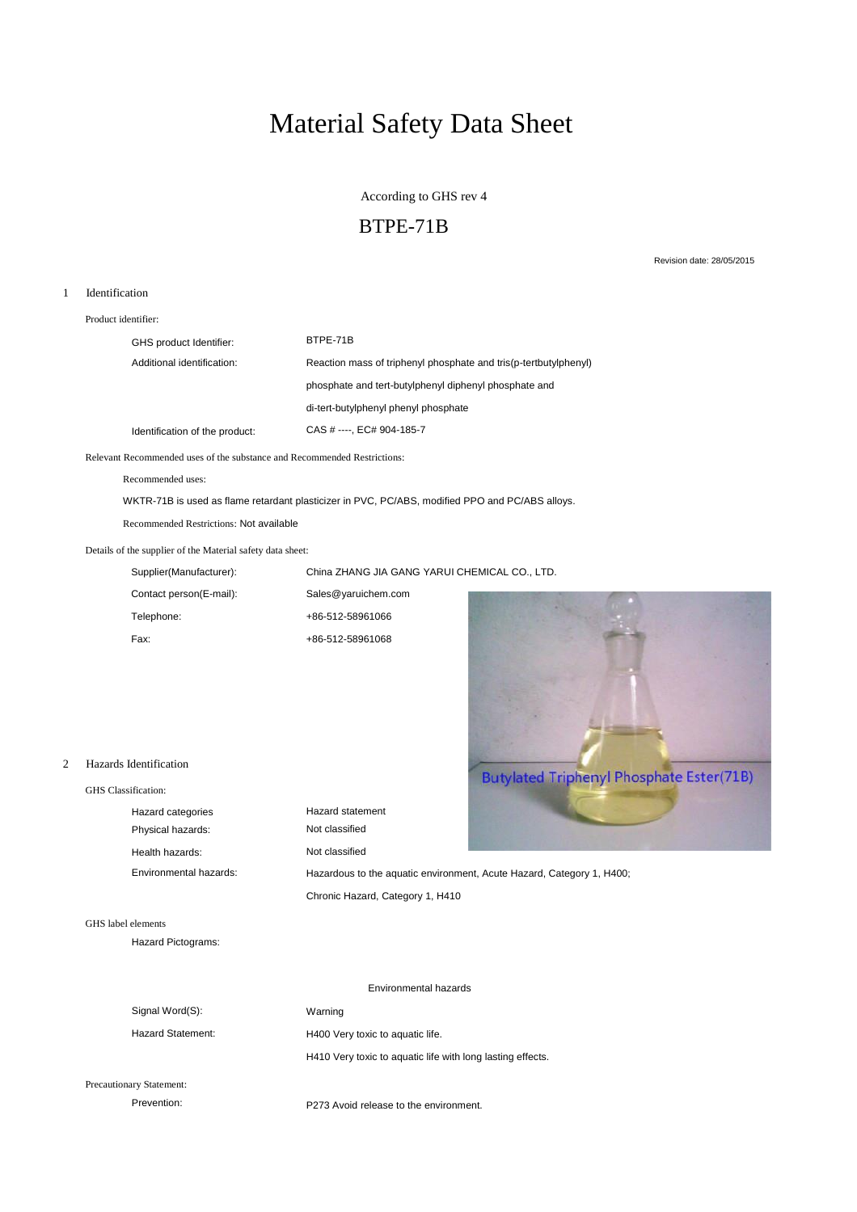# Material Safety Data Sheet

According to GHS rev 4

# BTPE-71B

Revision date: 28/05/2015

## 1 Identification

Product identifier:

| GHS product Identifier:        | BTPF-71B                                                         |
|--------------------------------|------------------------------------------------------------------|
| Additional identification:     | Reaction mass of triphenyl phosphate and tris(p-tertbutylphenyl) |
|                                | phosphate and tert-butylphenyl diphenyl phosphate and            |
|                                | di-tert-butylphenyl phenyl phosphate                             |
| Identification of the product: | CAS # ----, EC# 904-185-7                                        |

Relevant Recommended uses of the substance and Recommended Restrictions:

Recommended uses:

WKTR-71B is used as flame retardant plasticizer in PVC, PC/ABS, modified PPO and PC/ABS alloys.

Recommended Restrictions: Not available

## Details of the supplier of the Material safety data sheet:

Supplier(Manufacturer): China ZHANG JIA GANG YARUI CHEMICAL CO., LTD.

| Contact person(E-mail): | Sales@yaruichem.com |
|-------------------------|---------------------|
| Telephone:              | +86-512-58961066    |
| Fax:                    | +86-512-58961068    |



## 2 Hazards Identification

| GHS Classification:    |                                  |                                                                       |
|------------------------|----------------------------------|-----------------------------------------------------------------------|
| Hazard categories      | Hazard statement                 |                                                                       |
| Physical hazards:      | Not classified                   |                                                                       |
| Health hazards:        | Not classified                   |                                                                       |
| Environmental hazards: |                                  | Hazardous to the aquatic environment, Acute Hazard, Category 1, H400; |
|                        | Chronic Hazard, Category 1, H410 |                                                                       |

# GHS label elements

Hazard Pictograms:

|                                 | Environmental hazards                                      |  |  |
|---------------------------------|------------------------------------------------------------|--|--|
| Signal Word(S):                 | Warning                                                    |  |  |
| <b>Hazard Statement:</b>        | H400 Very toxic to aquatic life.                           |  |  |
|                                 | H410 Very toxic to aquatic life with long lasting effects. |  |  |
| <b>Precautionary Statement:</b> |                                                            |  |  |

Prevention: Prevention: P273 Avoid release to the environment.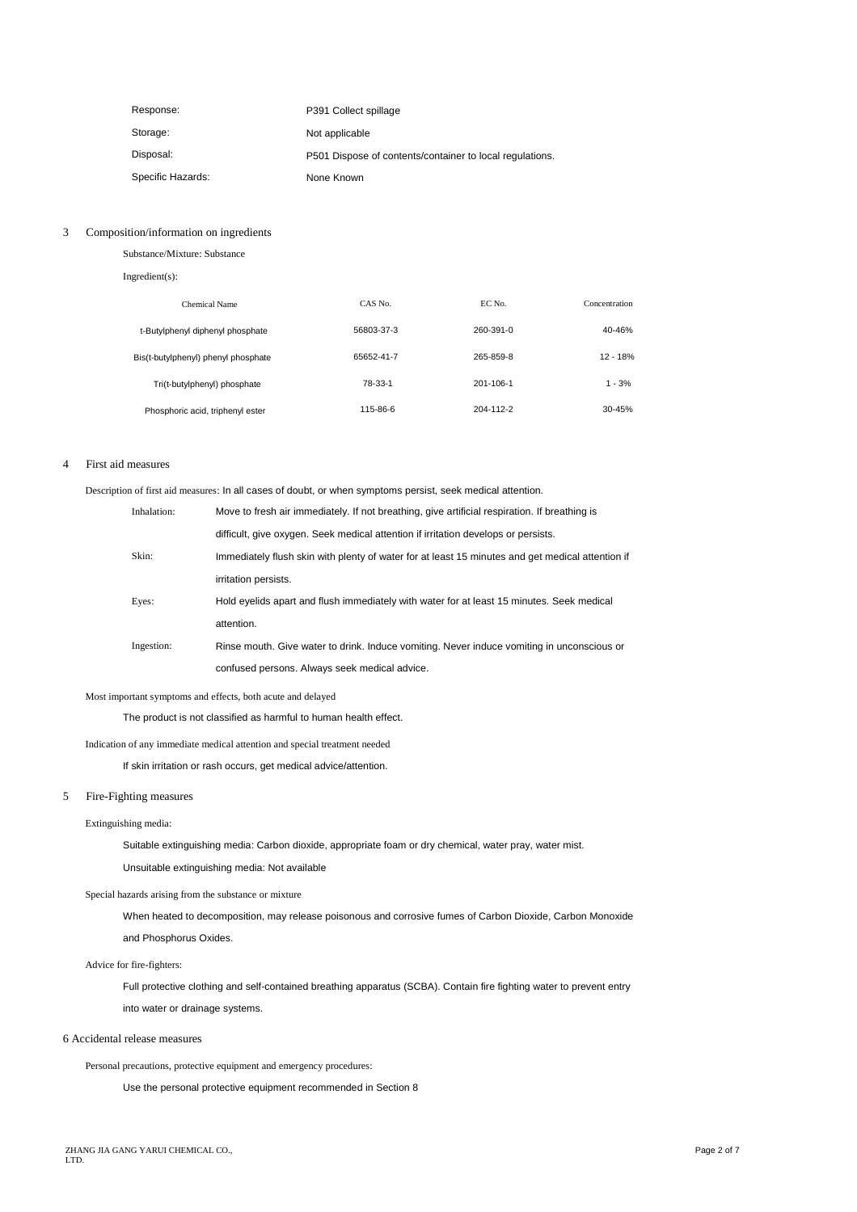| Response:         | P391 Collect spillage                                    |
|-------------------|----------------------------------------------------------|
| Storage:          | Not applicable                                           |
| Disposal:         | P501 Dispose of contents/container to local regulations. |
| Specific Hazards: | None Known                                               |

## 3 Composition/information on ingredients

| Substance/Mixture: Substance        |            |           |               |  |  |
|-------------------------------------|------------|-----------|---------------|--|--|
| $Ingradient(s)$ :                   |            |           |               |  |  |
| Chemical Name                       | CAS No.    | EC No.    | Concentration |  |  |
| t-Butylphenyl diphenyl phosphate    | 56803-37-3 | 260-391-0 | 40-46%        |  |  |
| Bis(t-butylphenyl) phenyl phosphate | 65652-41-7 | 265-859-8 | $12 - 18%$    |  |  |
| Tri(t-butylphenyl) phosphate        | 78-33-1    | 201-106-1 | $1 - 3%$      |  |  |
| Phosphoric acid, triphenyl ester    | 115-86-6   | 204-112-2 | $30 - 45%$    |  |  |

## 4 First aid measures

Description of first aid measures: In all cases of doubt, or when symptoms persist, seek medical attention.

| Inhalation: | Move to fresh air immediately. If not breathing, give artificial respiration. If breathing is    |
|-------------|--------------------------------------------------------------------------------------------------|
|             | difficult, give oxygen. Seek medical attention if irritation develops or persists.               |
| Skin:       | Immediately flush skin with plenty of water for at least 15 minutes and get medical attention if |
|             | irritation persists.                                                                             |
| Eyes:       | Hold eyelids apart and flush immediately with water for at least 15 minutes. Seek medical        |
|             | attention.                                                                                       |
| Ingestion:  | Rinse mouth. Give water to drink. Induce vomiting. Never induce vomiting in unconscious or       |
|             | confused persons. Always seek medical advice.                                                    |

#### Most important symptoms and effects, both acute and delayed

The product is not classified as harmful to human health effect.

#### Indication of any immediate medical attention and special treatment needed

If skin irritation or rash occurs, get medical advice/attention.

## 5 Fire-Fighting measures

#### Extinguishing media:

Suitable extinguishing media: Carbon dioxide, appropriate foam or dry chemical, water pray, water mist.

Unsuitable extinguishing media: Not available

Special hazards arising from the substance or mixture

When heated to decomposition, may release poisonous and corrosive fumes of Carbon Dioxide, Carbon Monoxide

and Phosphorus Oxides.

## Advice for fire-fighters:

Full protective clothing and self-contained breathing apparatus (SCBA). Contain fire fighting water to prevent entry into water or drainage systems.

#### 6 Accidental release measures

Personal precautions, protective equipment and emergency procedures:

Use the personal protective equipment recommended in Section 8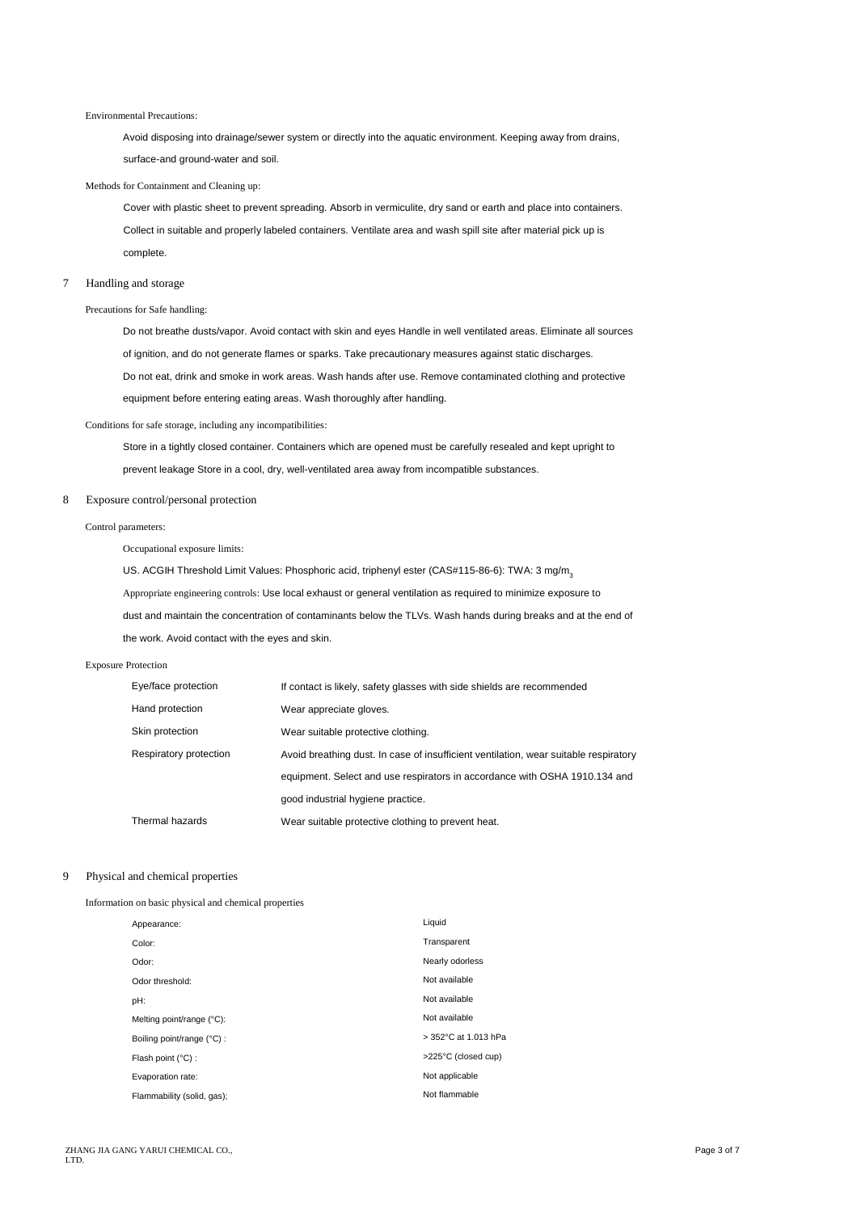#### Environmental Precautions:

Avoid disposing into drainage/sewer system or directly into the aquatic environment. Keeping away from drains, surface-and ground-water and soil.

#### Methods for Containment and Cleaning up:

Cover with plastic sheet to prevent spreading. Absorb in vermiculite, dry sand or earth and place into containers. Collect in suitable and properly labeled containers. Ventilate area and wash spill site after material pick up is complete.

#### 7 Handling and storage

Precautions for Safe handling:

Do not breathe dusts/vapor. Avoid contact with skin and eyes Handle in well ventilated areas. Eliminate all sources of ignition, and do not generate flames or sparks. Take precautionary measures against static discharges. Do not eat, drink and smoke in work areas. Wash hands after use. Remove contaminated clothing and protective equipment before entering eating areas. Wash thoroughly after handling.

Conditions for safe storage, including any incompatibilities:

Store in a tightly closed container. Containers which are opened must be carefully resealed and kept upright to prevent leakage Store in a cool, dry, well-ventilated area away from incompatible substances.

#### 8 Exposure control/personal protection

Control parameters:

Occupational exposure limits:

US. ACGIH Threshold Limit Values: Phosphoric acid, triphenyl ester (CAS#115-86-6): TWA: 3 mg/m<sub>3</sub> Appropriate engineering controls: Use local exhaust or general ventilation as required to minimize exposure to dust and maintain the concentration of contaminants below the TLVs. Wash hands during breaks and at the end of the work. Avoid contact with the eyes and skin. Exposure Protection

| Eye/face protection    | If contact is likely, safety glasses with side shields are recommended               |
|------------------------|--------------------------------------------------------------------------------------|
| Hand protection        | Wear appreciate gloves.                                                              |
| Skin protection        | Wear suitable protective clothing.                                                   |
| Respiratory protection | Avoid breathing dust. In case of insufficient ventilation, wear suitable respiratory |
|                        | equipment. Select and use respirators in accordance with OSHA 1910.134 and           |
|                        | good industrial hygiene practice.                                                    |
| Thermal hazards        | Wear suitable protective clothing to prevent heat.                                   |

#### 9 Physical and chemical properties

Information on basic physical and chemical properties

| Transparent<br>Color:<br>Nearly odorless<br>Odor:<br>Not available<br>Odor threshold:<br>Not available<br>pH:<br>Not available<br>Melting point/range (°C):<br>> 352°C at 1.013 hPa<br>Boiling point/range (°C) :<br>>225°C (closed cup)<br>Flash point (°C) :<br>Not applicable<br>Evaporation rate:<br>Not flammable<br>Flammability (solid, gas); | Appearance: | Liquid |
|------------------------------------------------------------------------------------------------------------------------------------------------------------------------------------------------------------------------------------------------------------------------------------------------------------------------------------------------------|-------------|--------|
|                                                                                                                                                                                                                                                                                                                                                      |             |        |
|                                                                                                                                                                                                                                                                                                                                                      |             |        |
|                                                                                                                                                                                                                                                                                                                                                      |             |        |
|                                                                                                                                                                                                                                                                                                                                                      |             |        |
|                                                                                                                                                                                                                                                                                                                                                      |             |        |
|                                                                                                                                                                                                                                                                                                                                                      |             |        |
|                                                                                                                                                                                                                                                                                                                                                      |             |        |
|                                                                                                                                                                                                                                                                                                                                                      |             |        |
|                                                                                                                                                                                                                                                                                                                                                      |             |        |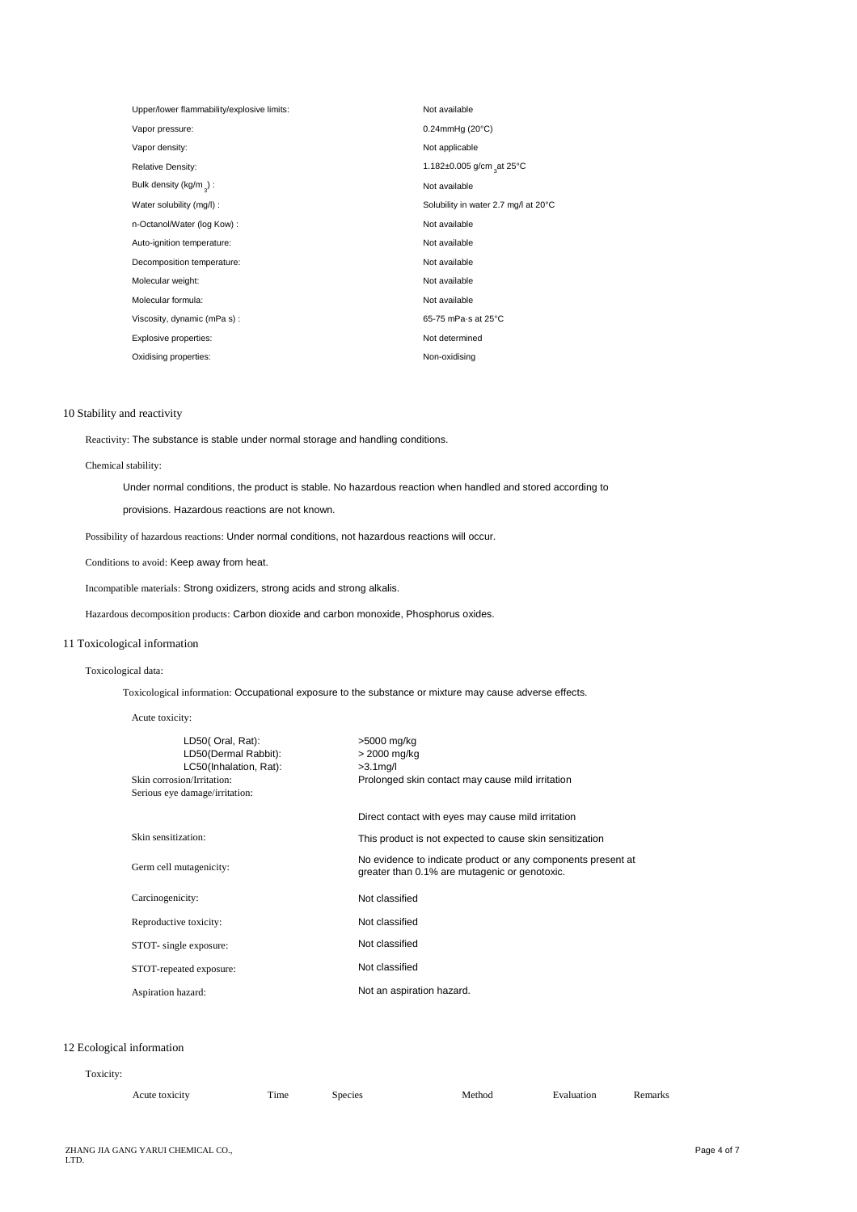| Upper/lower flammability/explosive limits: | Not available                        |
|--------------------------------------------|--------------------------------------|
| Vapor pressure:                            | $0.24$ mmHg $(20^{\circ}C)$          |
| Vapor density:                             | Not applicable                       |
| <b>Relative Density:</b>                   | 1.182±0.005 g/cm at 25°C             |
| Bulk density (kg/m $\alpha$ ) :            | Not available                        |
| Water solubility (mg/l) :                  | Solubility in water 2.7 mg/l at 20°C |
| n-Octanol/Water (log Kow):                 | Not available                        |
| Auto-ignition temperature:                 | Not available                        |
| Decomposition temperature:                 | Not available                        |
| Molecular weight:                          | Not available                        |
| Molecular formula:                         | Not available                        |
| Viscosity, dynamic (mPa s):                | 65-75 mPa s at 25°C                  |
| Explosive properties:                      | Not determined                       |
| Oxidising properties:                      | Non-oxidising                        |

### 10 Stability and reactivity

Reactivity: The substance is stable under normal storage and handling conditions.

## Chemical stability:

Under normal conditions, the product is stable. No hazardous reaction when handled and stored according to

provisions. Hazardous reactions are not known.

Possibility of hazardous reactions: Under normal conditions, not hazardous reactions will occur.

Conditions to avoid: Keep away from heat.

Incompatible materials: Strong oxidizers, strong acids and strong alkalis.

Hazardous decomposition products: Carbon dioxide and carbon monoxide, Phosphorus oxides.

## 11 Toxicological information

## Toxicological data:

Toxicological information: Occupational exposure to the substance or mixture may cause adverse effects.

Acute toxicity:

| LD50(Oral, Rat):<br>LD50(Dermal Rabbit):<br>LC50(Inhalation, Rat):<br>Skin corrosion/Irritation:<br>Serious eye damage/irritation: | >5000 mg/kg<br>> 2000 mg/kg<br>$>3.1$ mg/l<br>Prolonged skin contact may cause mild irritation                |
|------------------------------------------------------------------------------------------------------------------------------------|---------------------------------------------------------------------------------------------------------------|
|                                                                                                                                    | Direct contact with eyes may cause mild irritation                                                            |
| Skin sensitization:                                                                                                                | This product is not expected to cause skin sensitization                                                      |
| Germ cell mutagenicity:                                                                                                            | No evidence to indicate product or any components present at<br>greater than 0.1% are mutagenic or genotoxic. |
| Carcinogenicity:                                                                                                                   | Not classified                                                                                                |
| Reproductive toxicity:                                                                                                             | Not classified                                                                                                |
| STOT- single exposure:                                                                                                             | Not classified                                                                                                |
| STOT-repeated exposure:                                                                                                            | Not classified                                                                                                |
| Aspiration hazard:                                                                                                                 | Not an aspiration hazard.                                                                                     |

## 12 Ecological information

## Toxicity:

| --<br>`ime<br>Acute<br><b>TOXICITY</b><br>and the state of | species. | .<br>`hoc | . | والمحموم<br>эмн хэ |
|------------------------------------------------------------|----------|-----------|---|--------------------|
|------------------------------------------------------------|----------|-----------|---|--------------------|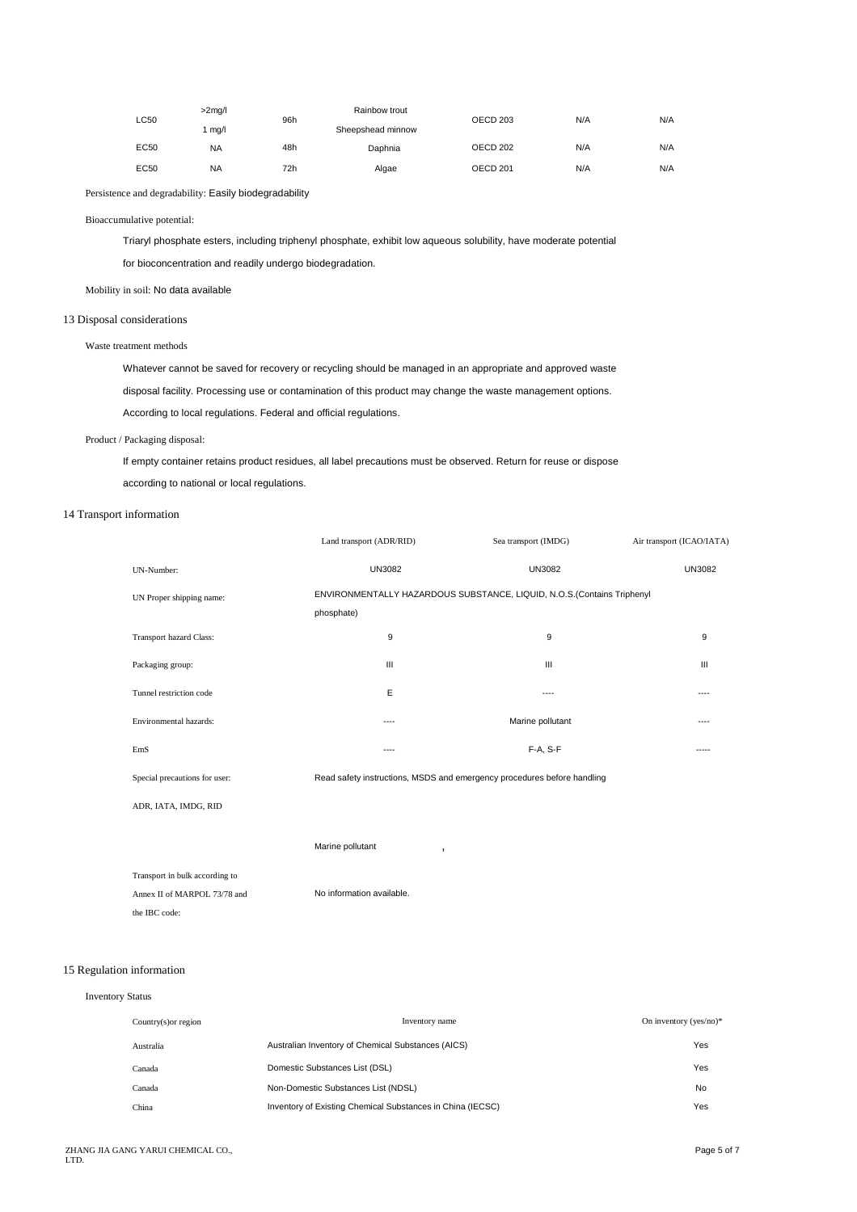| LC50 | $>2$ mg/l | 96h | Rainbow trout     | OECD <sub>203</sub> | N/A | N/A |
|------|-----------|-----|-------------------|---------------------|-----|-----|
|      | l mg/l    |     | Sheepshead minnow |                     |     |     |
| EC50 | <b>NA</b> | 48h | Daphnia           | OECD 202            | N/A | N/A |
| EC50 | <b>NA</b> | 72h | Algae             | OECD <sub>201</sub> | N/A | N/A |
|      |           |     |                   |                     |     |     |

Persistence and degradability: Easily biodegradability

## Bioaccumulative potential:

Triaryl phosphate esters, including triphenyl phosphate, exhibit low aqueous solubility, have moderate potential for bioconcentration and readily undergo biodegradation.

## Mobility in soil: No data available

#### 13 Disposal considerations

#### Waste treatment methods

Whatever cannot be saved for recovery or recycling should be managed in an appropriate and approved waste disposal facility. Processing use or contamination of this product may change the waste management options. According to local regulations. Federal and official regulations.

#### Product / Packaging disposal:

If empty container retains product residues, all label precautions must be observed. Return for reuse or dispose according to national or local regulations.

## 14 Transport information

|                                | Land transport (ADR/RID)                                                             | Sea transport (IMDG) | Air transport (ICAO/IATA) |  |
|--------------------------------|--------------------------------------------------------------------------------------|----------------------|---------------------------|--|
| UN-Number:                     | <b>UN3082</b>                                                                        | <b>UN3082</b>        | <b>UN3082</b>             |  |
| UN Proper shipping name:       | ENVIRONMENTALLY HAZARDOUS SUBSTANCE, LIQUID, N.O.S.(Contains Triphenyl<br>phosphate) |                      |                           |  |
| Transport hazard Class:        | 9                                                                                    | 9                    | 9                         |  |
| Packaging group:               | $\mathbf{III}$                                                                       | $\mathbf{III}$       | $\mathbf{III}$            |  |
| Tunnel restriction code        | E                                                                                    | ----                 | ----                      |  |
| Environmental hazards:         | $---$                                                                                | Marine pollutant     | ----                      |  |
| EmS                            | $---$                                                                                | F-A, S-F             | -----                     |  |
| Special precautions for user:  | Read safety instructions, MSDS and emergency procedures before handling              |                      |                           |  |
| ADR, IATA, IMDG, RID           |                                                                                      |                      |                           |  |
|                                | Marine pollutant<br>,                                                                |                      |                           |  |
| Transport in bulk according to |                                                                                      |                      |                           |  |
| Annex II of MARPOL 73/78 and   | No information available.                                                            |                      |                           |  |

# 15 Regulation information

the IBC code:

| <b>Inventory Status</b> |                         |                                                            |                           |
|-------------------------|-------------------------|------------------------------------------------------------|---------------------------|
|                         | Country $(s)$ or region | Inventory name                                             | On inventory (yes/no) $*$ |
|                         | Australia               | Australian Inventory of Chemical Substances (AICS)         | Yes                       |
|                         | Canada                  | Domestic Substances List (DSL)                             | Yes                       |
|                         | Canada                  | Non-Domestic Substances List (NDSL)                        | No                        |
|                         | China                   | Inventory of Existing Chemical Substances in China (IECSC) | Yes                       |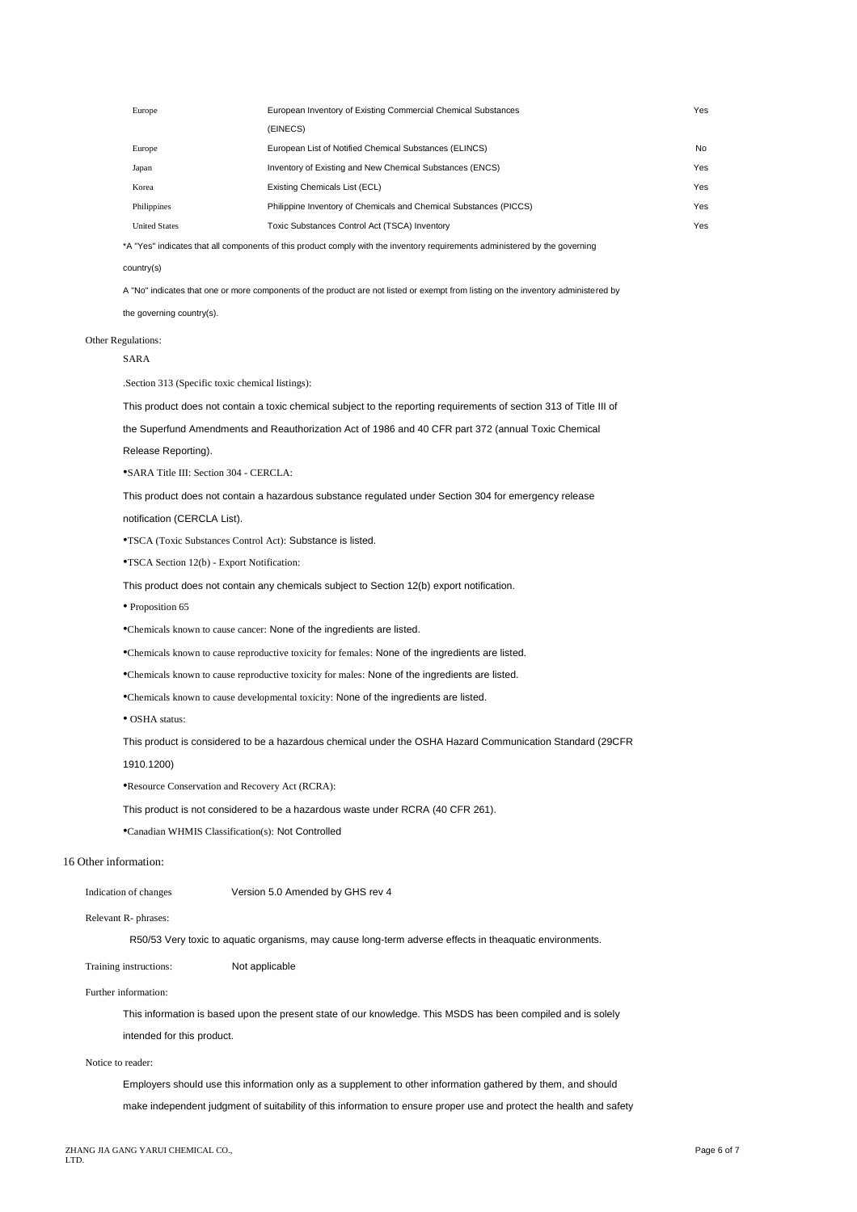| Europe               | European Inventory of Existing Commercial Chemical Substances     | Yes |
|----------------------|-------------------------------------------------------------------|-----|
|                      | (EINECS)                                                          |     |
| Europe               | European List of Notified Chemical Substances (ELINCS)            | No  |
| Japan                | Inventory of Existing and New Chemical Substances (ENCS)          | Yes |
| Korea                | Existing Chemicals List (ECL)                                     | Yes |
| Philippines          | Philippine Inventory of Chemicals and Chemical Substances (PICCS) | Yes |
| <b>United States</b> | Toxic Substances Control Act (TSCA) Inventory                     | Yes |
|                      |                                                                   |     |

\*A "Yes" indicates that all components of this product comply with the inventory requirements administered by the governing

#### country(s)

A "No" indicates that one or more components of the product are not listed or exempt from listing on the inventory administered by

the governing country(s).

## Other Regulations:

SARA

.Section 313 (Specific toxic chemical listings):

This product does not contain a toxic chemical subject to the reporting requirements of section 313 of Title III of

the Superfund Amendments and Reauthorization Act of 1986 and 40 CFR part 372 (annual Toxic Chemical

Release Reporting).

•SARA Title III: Section 304 - CERCLA:

This product does not contain a hazardous substance regulated under Section 304 for emergency release

notification (CERCLA List).

•TSCA (Toxic Substances Control Act): Substance is listed.

•TSCA Section 12(b) - Export Notification:

This product does not contain any chemicals subject to Section 12(b) export notification.

• Proposition 65

•Chemicals known to cause cancer: None of the ingredients are listed.

•Chemicals known to cause reproductive toxicity for females: None of the ingredients are listed.

•Chemicals known to cause reproductive toxicity for males: None of the ingredients are listed.

•Chemicals known to cause developmental toxicity: None of the ingredients are listed.

• OSHA status:

This product is considered to be a hazardous chemical under the OSHA Hazard Communication Standard (29CFR

1910.1200)

•Resource Conservation and Recovery Act (RCRA):

This product is not considered to be a hazardous waste under RCRA (40 CFR 261).

•Canadian WHMIS Classification(s): Not Controlled

#### 16 Other information:

Indication of changes Version 5.0 Amended by GHS rev 4

Relevant R- phrases:

R50/53 Very toxic to aquatic organisms, may cause long-term adverse effects in theaquatic environments.

Training instructions: Not applicable

Further information:

This information is based upon the present state of our knowledge. This MSDS has been compiled and is solely intended for this product.

#### Notice to reader:

Employers should use this information only as a supplement to other information gathered by them, and should make independent judgment of suitability of this information to ensure proper use and protect the health and safety